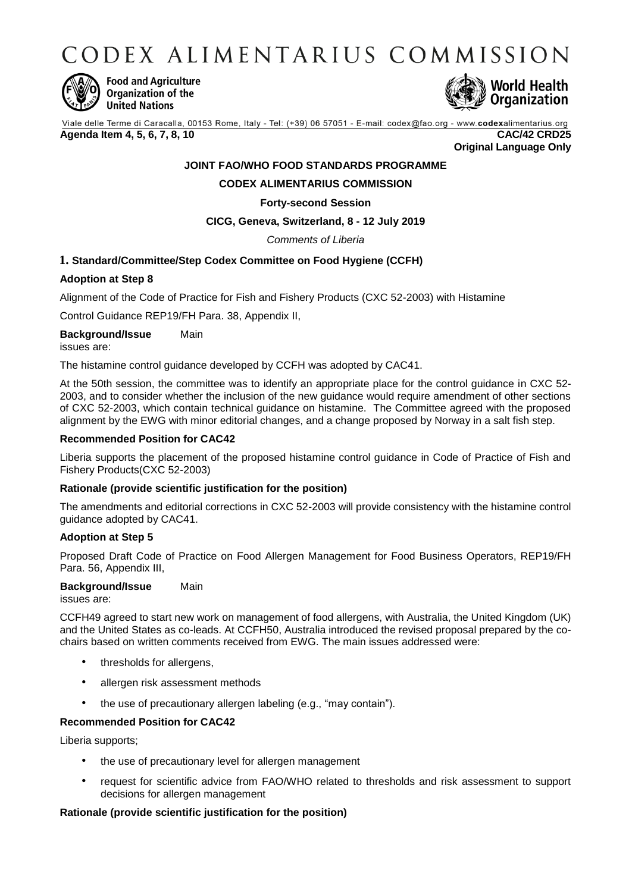CODEX ALIMENTARIUS COMMISSION



**Food and Agriculture** Organization of the **United Nations** 



Viale delle Terme di Caracalla, 00153 Rome, Italy - Tel: (+39) 06 57051 - E-mail: codex@fao.org - www.codexalimentarius.org **Agenda Item 4, 5, 6, 7, 8, 10 CAC/42 CRD25**

**Original Language Only**

# **JOINT FAO/WHO FOOD STANDARDS PROGRAMME**

# **CODEX ALIMENTARIUS COMMISSION**

### **Forty-second Session**

# **CICG, Geneva, Switzerland, 8 - 12 July 2019**

### *Comments of Liberia*

# **1. Standard/Committee/Step Codex Committee on Food Hygiene (CCFH)**

### **Adoption at Step 8**

Alignment of the Code of Practice for Fish and Fishery Products (CXC 52-2003) with Histamine

Control Guidance REP19/FH Para. 38, Appendix II,

**Background/Issue** Main issues are:

The histamine control guidance developed by CCFH was adopted by CAC41.

At the 50th session, the committee was to identify an appropriate place for the control guidance in CXC 52- 2003, and to consider whether the inclusion of the new guidance would require amendment of other sections of CXC 52-2003, which contain technical guidance on histamine. The Committee agreed with the proposed alignment by the EWG with minor editorial changes, and a change proposed by Norway in a salt fish step.

### **Recommended Position for CAC42**

Liberia supports the placement of the proposed histamine control guidance in Code of Practice of Fish and Fishery Products(CXC 52-2003)

### **Rationale (provide scientific justification for the position)**

The amendments and editorial corrections in CXC 52-2003 will provide consistency with the histamine control guidance adopted by CAC41.

# **Adoption at Step 5**

Proposed Draft Code of Practice on Food Allergen Management for Food Business Operators, REP19/FH Para. 56, Appendix III,

### **Background/Issue** Main

issues are:

CCFH49 agreed to start new work on management of food allergens, with Australia, the United Kingdom (UK) and the United States as co-leads. At CCFH50, Australia introduced the revised proposal prepared by the cochairs based on written comments received from EWG. The main issues addressed were:

- thresholds for allergens,
- allergen risk assessment methods
- the use of precautionary allergen labeling (e.g., "may contain").

# **Recommended Position for CAC42**

Liberia supports;

- the use of precautionary level for allergen management
- request for scientific advice from FAO/WHO related to thresholds and risk assessment to support decisions for allergen management

# **Rationale (provide scientific justification for the position)**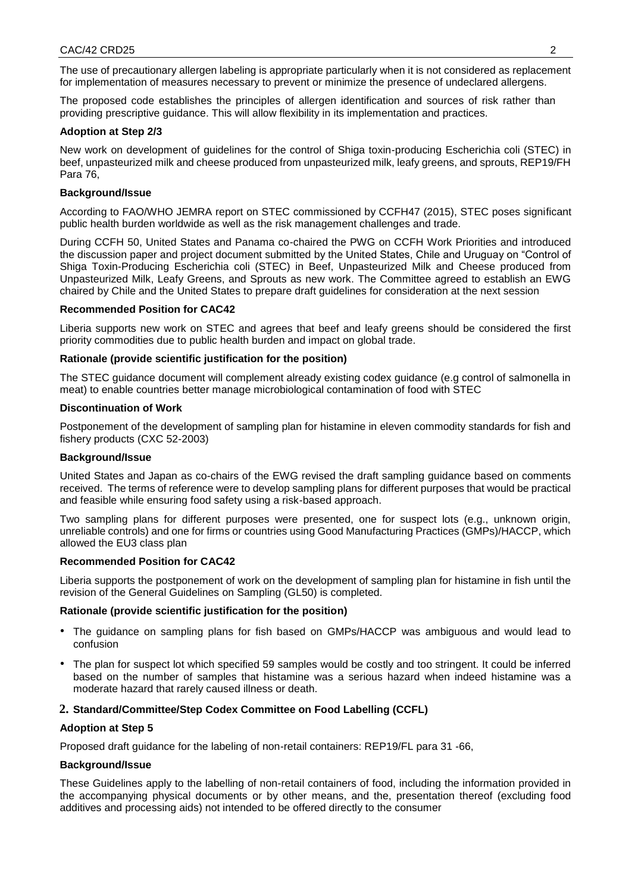The use of precautionary allergen labeling is appropriate particularly when it is not considered as replacement for implementation of measures necessary to prevent or minimize the presence of undeclared allergens.

The proposed code establishes the principles of allergen identification and sources of risk rather than providing prescriptive guidance. This will allow flexibility in its implementation and practices.

#### **Adoption at Step 2/3**

New work on development of guidelines for the control of Shiga toxin-producing Escherichia coli (STEC) in beef, unpasteurized milk and cheese produced from unpasteurized milk, leafy greens, and sprouts, REP19/FH Para 76,

#### **Background/Issue**

According to FAO/WHO JEMRA report on STEC commissioned by CCFH47 (2015), STEC poses significant public health burden worldwide as well as the risk management challenges and trade.

During CCFH 50, United States and Panama co-chaired the PWG on CCFH Work Priorities and introduced the discussion paper and project document submitted by the United States, Chile and Uruguay on "Control of Shiga Toxin-Producing Escherichia coli (STEC) in Beef, Unpasteurized Milk and Cheese produced from Unpasteurized Milk, Leafy Greens, and Sprouts as new work. The Committee agreed to establish an EWG chaired by Chile and the United States to prepare draft guidelines for consideration at the next session

#### **Recommended Position for CAC42**

Liberia supports new work on STEC and agrees that beef and leafy greens should be considered the first priority commodities due to public health burden and impact on global trade.

### **Rationale (provide scientific justification for the position)**

The STEC guidance document will complement already existing codex guidance (e.g control of salmonella in meat) to enable countries better manage microbiological contamination of food with STEC

#### **Discontinuation of Work**

Postponement of the development of sampling plan for histamine in eleven commodity standards for fish and fishery products (CXC 52-2003)

#### **Background/Issue**

United States and Japan as co-chairs of the EWG revised the draft sampling guidance based on comments received. The terms of reference were to develop sampling plans for different purposes that would be practical and feasible while ensuring food safety using a risk-based approach.

Two sampling plans for different purposes were presented, one for suspect lots (e.g., unknown origin, unreliable controls) and one for firms or countries using Good Manufacturing Practices (GMPs)/HACCP, which allowed the EU3 class plan

### **Recommended Position for CAC42**

Liberia supports the postponement of work on the development of sampling plan for histamine in fish until the revision of the General Guidelines on Sampling (GL50) is completed.

### **Rationale (provide scientific justification for the position)**

- The guidance on sampling plans for fish based on GMPs/HACCP was ambiguous and would lead to confusion
- The plan for suspect lot which specified 59 samples would be costly and too stringent. It could be inferred based on the number of samples that histamine was a serious hazard when indeed histamine was a moderate hazard that rarely caused illness or death.

### **2. Standard/Committee/Step Codex Committee on Food Labelling (CCFL)**

### **Adoption at Step 5**

Proposed draft guidance for the labeling of non-retail containers: REP19/FL para 31 -66,

### **Background/Issue**

These Guidelines apply to the labelling of non-retail containers of food, including the information provided in the accompanying physical documents or by other means, and the, presentation thereof (excluding food additives and processing aids) not intended to be offered directly to the consumer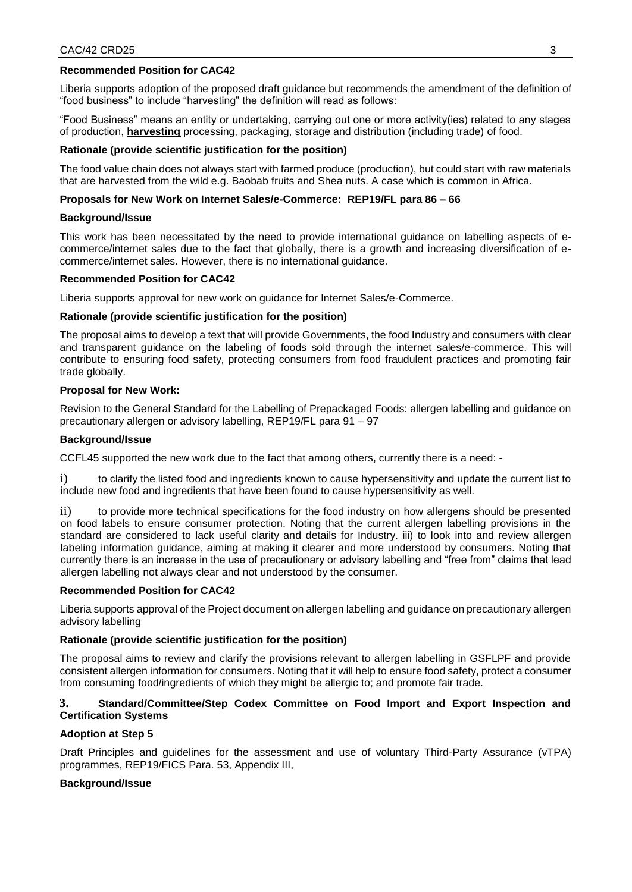### **Recommended Position for CAC42**

Liberia supports adoption of the proposed draft guidance but recommends the amendment of the definition of "food business" to include "harvesting" the definition will read as follows:

"Food Business" means an entity or undertaking, carrying out one or more activity(ies) related to any stages of production, **harvesting** processing, packaging, storage and distribution (including trade) of food.

### **Rationale (provide scientific justification for the position)**

The food value chain does not always start with farmed produce (production), but could start with raw materials that are harvested from the wild e.g. Baobab fruits and Shea nuts. A case which is common in Africa.

### **Proposals for New Work on Internet Sales/e-Commerce: REP19/FL para 86 – 66**

#### **Background/Issue**

This work has been necessitated by the need to provide international guidance on labelling aspects of ecommerce/internet sales due to the fact that globally, there is a growth and increasing diversification of ecommerce/internet sales. However, there is no international guidance.

#### **Recommended Position for CAC42**

Liberia supports approval for new work on guidance for Internet Sales/e-Commerce.

#### **Rationale (provide scientific justification for the position)**

The proposal aims to develop a text that will provide Governments, the food Industry and consumers with clear and transparent guidance on the labeling of foods sold through the internet sales/e-commerce. This will contribute to ensuring food safety, protecting consumers from food fraudulent practices and promoting fair trade globally.

#### **Proposal for New Work:**

Revision to the General Standard for the Labelling of Prepackaged Foods: allergen labelling and guidance on precautionary allergen or advisory labelling, REP19/FL para 91 – 97

#### **Background/Issue**

CCFL45 supported the new work due to the fact that among others, currently there is a need: -

i) to clarify the listed food and ingredients known to cause hypersensitivity and update the current list to include new food and ingredients that have been found to cause hypersensitivity as well.

ii) to provide more technical specifications for the food industry on how allergens should be presented on food labels to ensure consumer protection. Noting that the current allergen labelling provisions in the standard are considered to lack useful clarity and details for Industry. iii) to look into and review allergen labeling information guidance, aiming at making it clearer and more understood by consumers. Noting that currently there is an increase in the use of precautionary or advisory labelling and "free from" claims that lead allergen labelling not always clear and not understood by the consumer.

### **Recommended Position for CAC42**

Liberia supports approval of the Project document on allergen labelling and guidance on precautionary allergen advisory labelling

### **Rationale (provide scientific justification for the position)**

The proposal aims to review and clarify the provisions relevant to allergen labelling in GSFLPF and provide consistent allergen information for consumers. Noting that it will help to ensure food safety, protect a consumer from consuming food/ingredients of which they might be allergic to; and promote fair trade.

### **3. Standard/Committee/Step Codex Committee on Food Import and Export Inspection and Certification Systems**

### **Adoption at Step 5**

Draft Principles and guidelines for the assessment and use of voluntary Third-Party Assurance (vTPA) programmes, REP19/FICS Para. 53, Appendix III,

### **Background/Issue**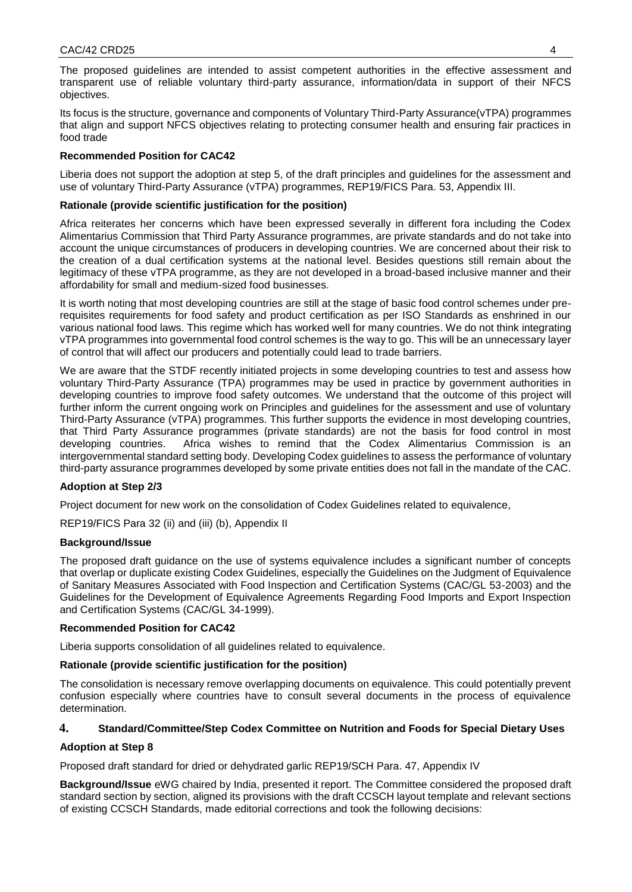Its focus is the structure, governance and components of Voluntary Third-Party Assurance(vTPA) programmes that align and support NFCS objectives relating to protecting consumer health and ensuring fair practices in food trade

# **Recommended Position for CAC42**

Liberia does not support the adoption at step 5, of the draft principles and guidelines for the assessment and use of voluntary Third-Party Assurance (vTPA) programmes, REP19/FICS Para. 53, Appendix III.

# **Rationale (provide scientific justification for the position)**

Africa reiterates her concerns which have been expressed severally in different fora including the Codex Alimentarius Commission that Third Party Assurance programmes, are private standards and do not take into account the unique circumstances of producers in developing countries. We are concerned about their risk to the creation of a dual certification systems at the national level. Besides questions still remain about the legitimacy of these vTPA programme, as they are not developed in a broad-based inclusive manner and their affordability for small and medium-sized food businesses.

It is worth noting that most developing countries are still at the stage of basic food control schemes under prerequisites requirements for food safety and product certification as per ISO Standards as enshrined in our various national food laws. This regime which has worked well for many countries. We do not think integrating vTPA programmes into governmental food control schemes is the way to go. This will be an unnecessary layer of control that will affect our producers and potentially could lead to trade barriers.

We are aware that the STDF recently initiated projects in some developing countries to test and assess how voluntary Third-Party Assurance (TPA) programmes may be used in practice by government authorities in developing countries to improve food safety outcomes. We understand that the outcome of this project will further inform the current ongoing work on Principles and guidelines for the assessment and use of voluntary Third-Party Assurance (vTPA) programmes. This further supports the evidence in most developing countries, that Third Party Assurance programmes (private standards) are not the basis for food control in most developing countries. Africa wishes to remind that the Codex Alimentarius Commission is an intergovernmental standard setting body. Developing Codex guidelines to assess the performance of voluntary third-party assurance programmes developed by some private entities does not fall in the mandate of the CAC.

# **Adoption at Step 2/3**

Project document for new work on the consolidation of Codex Guidelines related to equivalence,

REP19/FICS Para 32 (ii) and (iii) (b), Appendix II

# **Background/Issue**

The proposed draft guidance on the use of systems equivalence includes a significant number of concepts that overlap or duplicate existing Codex Guidelines, especially the Guidelines on the Judgment of Equivalence of Sanitary Measures Associated with Food Inspection and Certification Systems (CAC/GL 53-2003) and the Guidelines for the Development of Equivalence Agreements Regarding Food Imports and Export Inspection and Certification Systems (CAC/GL 34-1999).

# **Recommended Position for CAC42**

Liberia supports consolidation of all guidelines related to equivalence.

# **Rationale (provide scientific justification for the position)**

The consolidation is necessary remove overlapping documents on equivalence. This could potentially prevent confusion especially where countries have to consult several documents in the process of equivalence determination.

# **4. Standard/Committee/Step Codex Committee on Nutrition and Foods for Special Dietary Uses**

# **Adoption at Step 8**

Proposed draft standard for dried or dehydrated garlic REP19/SCH Para. 47, Appendix IV

**Background/Issue** eWG chaired by India, presented it report. The Committee considered the proposed draft standard section by section, aligned its provisions with the draft CCSCH layout template and relevant sections of existing CCSCH Standards, made editorial corrections and took the following decisions: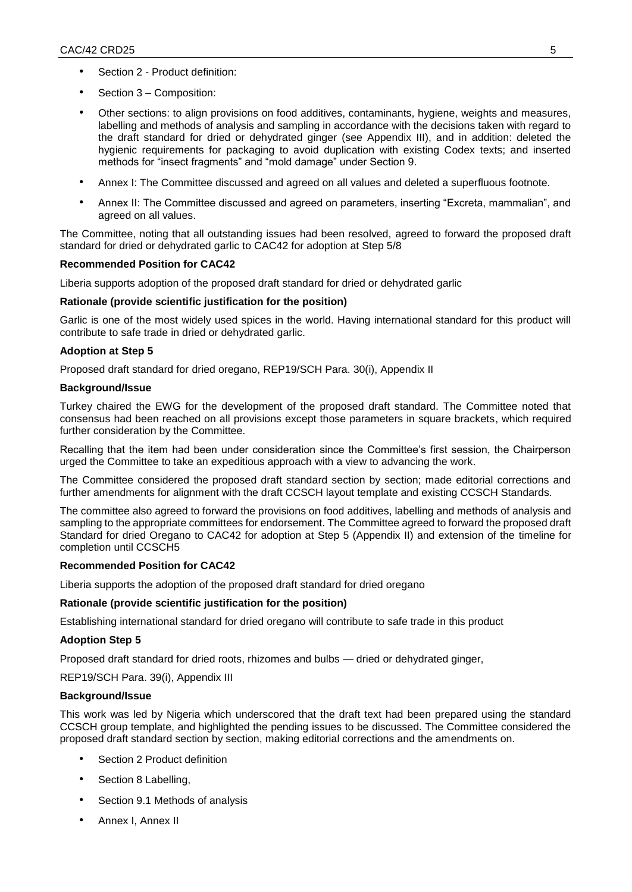- Section 2 Product definition:
- Section 3 Composition:
- Other sections: to align provisions on food additives, contaminants, hygiene, weights and measures, labelling and methods of analysis and sampling in accordance with the decisions taken with regard to the draft standard for dried or dehydrated ginger (see Appendix III), and in addition: deleted the hygienic requirements for packaging to avoid duplication with existing Codex texts; and inserted methods for "insect fragments" and "mold damage" under Section 9.
- Annex I: The Committee discussed and agreed on all values and deleted a superfluous footnote.
- Annex II: The Committee discussed and agreed on parameters, inserting "Excreta, mammalian", and agreed on all values.

The Committee, noting that all outstanding issues had been resolved, agreed to forward the proposed draft standard for dried or dehydrated garlic to CAC42 for adoption at Step 5/8

### **Recommended Position for CAC42**

Liberia supports adoption of the proposed draft standard for dried or dehydrated garlic

### **Rationale (provide scientific justification for the position)**

Garlic is one of the most widely used spices in the world. Having international standard for this product will contribute to safe trade in dried or dehydrated garlic.

### **Adoption at Step 5**

Proposed draft standard for dried oregano, REP19/SCH Para. 30(i), Appendix II

### **Background/Issue**

Turkey chaired the EWG for the development of the proposed draft standard. The Committee noted that consensus had been reached on all provisions except those parameters in square brackets, which required further consideration by the Committee.

Recalling that the item had been under consideration since the Committee's first session, the Chairperson urged the Committee to take an expeditious approach with a view to advancing the work.

The Committee considered the proposed draft standard section by section; made editorial corrections and further amendments for alignment with the draft CCSCH layout template and existing CCSCH Standards.

The committee also agreed to forward the provisions on food additives, labelling and methods of analysis and sampling to the appropriate committees for endorsement. The Committee agreed to forward the proposed draft Standard for dried Oregano to CAC42 for adoption at Step 5 (Appendix II) and extension of the timeline for completion until CCSCH5

### **Recommended Position for CAC42**

Liberia supports the adoption of the proposed draft standard for dried oregano

### **Rationale (provide scientific justification for the position)**

Establishing international standard for dried oregano will contribute to safe trade in this product

### **Adoption Step 5**

Proposed draft standard for dried roots, rhizomes and bulbs — dried or dehydrated ginger,

REP19/SCH Para. 39(i), Appendix III

### **Background/Issue**

This work was led by Nigeria which underscored that the draft text had been prepared using the standard CCSCH group template, and highlighted the pending issues to be discussed. The Committee considered the proposed draft standard section by section, making editorial corrections and the amendments on.

- Section 2 Product definition
- Section 8 Labelling,
- Section 9.1 Methods of analysis
- Annex I, Annex II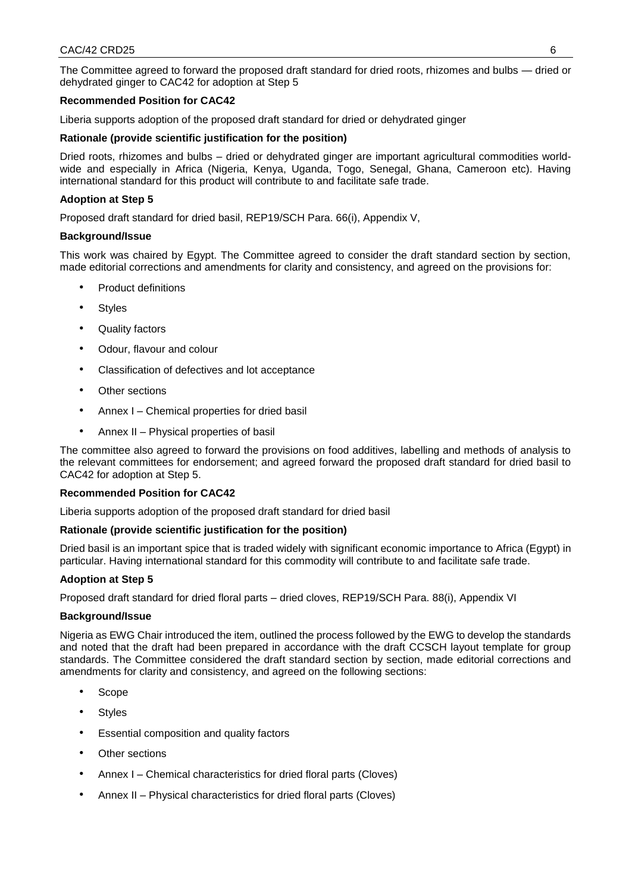The Committee agreed to forward the proposed draft standard for dried roots, rhizomes and bulbs — dried or dehydrated ginger to CAC42 for adoption at Step 5

# **Recommended Position for CAC42**

Liberia supports adoption of the proposed draft standard for dried or dehydrated ginger

### **Rationale (provide scientific justification for the position)**

Dried roots, rhizomes and bulbs – dried or dehydrated ginger are important agricultural commodities worldwide and especially in Africa (Nigeria, Kenya, Uganda, Togo, Senegal, Ghana, Cameroon etc). Having international standard for this product will contribute to and facilitate safe trade.

### **Adoption at Step 5**

Proposed draft standard for dried basil, REP19/SCH Para. 66(i), Appendix V,

### **Background/Issue**

This work was chaired by Egypt. The Committee agreed to consider the draft standard section by section, made editorial corrections and amendments for clarity and consistency, and agreed on the provisions for:

- Product definitions
- Styles
- Quality factors
- Odour, flavour and colour
- Classification of defectives and lot acceptance
- Other sections
- Annex I Chemical properties for dried basil
- Annex II Physical properties of basil

The committee also agreed to forward the provisions on food additives, labelling and methods of analysis to the relevant committees for endorsement; and agreed forward the proposed draft standard for dried basil to CAC42 for adoption at Step 5.

### **Recommended Position for CAC42**

Liberia supports adoption of the proposed draft standard for dried basil

### **Rationale (provide scientific justification for the position)**

Dried basil is an important spice that is traded widely with significant economic importance to Africa (Egypt) in particular. Having international standard for this commodity will contribute to and facilitate safe trade.

### **Adoption at Step 5**

Proposed draft standard for dried floral parts – dried cloves, REP19/SCH Para. 88(i), Appendix VI

### **Background/Issue**

Nigeria as EWG Chair introduced the item, outlined the process followed by the EWG to develop the standards and noted that the draft had been prepared in accordance with the draft CCSCH layout template for group standards. The Committee considered the draft standard section by section, made editorial corrections and amendments for clarity and consistency, and agreed on the following sections:

- Scope
- Styles
- Essential composition and quality factors
- Other sections
- Annex I Chemical characteristics for dried floral parts (Cloves)
- Annex II Physical characteristics for dried floral parts (Cloves)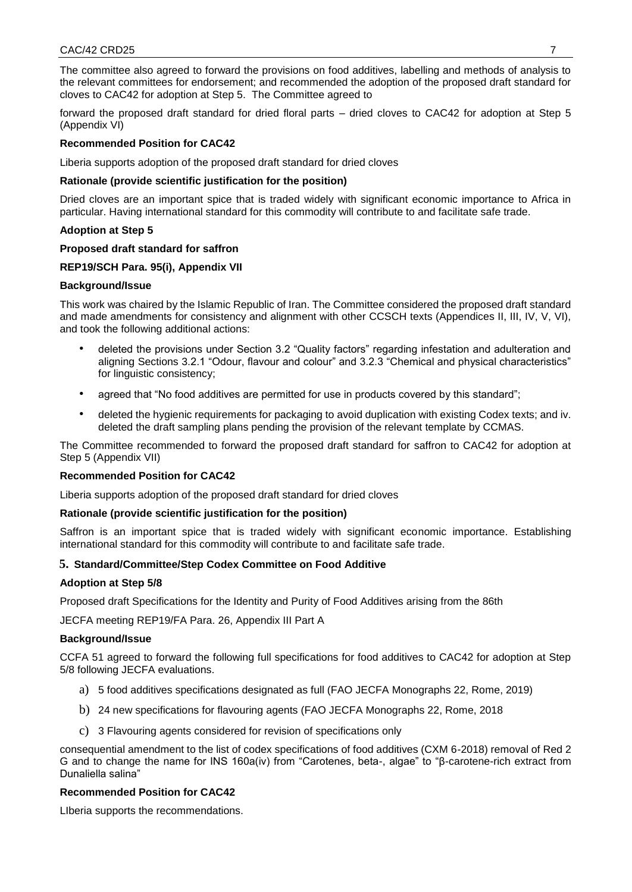The committee also agreed to forward the provisions on food additives, labelling and methods of analysis to the relevant committees for endorsement; and recommended the adoption of the proposed draft standard for cloves to CAC42 for adoption at Step 5. The Committee agreed to

forward the proposed draft standard for dried floral parts – dried cloves to CAC42 for adoption at Step 5 (Appendix VI)

### **Recommended Position for CAC42**

Liberia supports adoption of the proposed draft standard for dried cloves

### **Rationale (provide scientific justification for the position)**

Dried cloves are an important spice that is traded widely with significant economic importance to Africa in particular. Having international standard for this commodity will contribute to and facilitate safe trade.

### **Adoption at Step 5**

#### **Proposed draft standard for saffron**

### **REP19/SCH Para. 95(i), Appendix VII**

#### **Background/Issue**

This work was chaired by the Islamic Republic of Iran. The Committee considered the proposed draft standard and made amendments for consistency and alignment with other CCSCH texts (Appendices II, III, IV, V, VI), and took the following additional actions:

- deleted the provisions under Section 3.2 "Quality factors" regarding infestation and adulteration and aligning Sections 3.2.1 "Odour, flavour and colour" and 3.2.3 "Chemical and physical characteristics" for linguistic consistency;
- agreed that "No food additives are permitted for use in products covered by this standard";
- deleted the hygienic requirements for packaging to avoid duplication with existing Codex texts; and iv. deleted the draft sampling plans pending the provision of the relevant template by CCMAS.

The Committee recommended to forward the proposed draft standard for saffron to CAC42 for adoption at Step 5 (Appendix VII)

### **Recommended Position for CAC42**

Liberia supports adoption of the proposed draft standard for dried cloves

### **Rationale (provide scientific justification for the position)**

Saffron is an important spice that is traded widely with significant economic importance. Establishing international standard for this commodity will contribute to and facilitate safe trade.

### **5. Standard/Committee/Step Codex Committee on Food Additive**

### **Adoption at Step 5/8**

Proposed draft Specifications for the Identity and Purity of Food Additives arising from the 86th

JECFA meeting REP19/FA Para. 26, Appendix III Part A

#### **Background/Issue**

CCFA 51 agreed to forward the following full specifications for food additives to CAC42 for adoption at Step 5/8 following JECFA evaluations.

- a) 5 food additives specifications designated as full (FAO JECFA Monographs 22, Rome, 2019)
- b) 24 new specifications for flavouring agents (FAO JECFA Monographs 22, Rome, 2018
- c) 3 Flavouring agents considered for revision of specifications only

consequential amendment to the list of codex specifications of food additives (CXM 6-2018) removal of Red 2 G and to change the name for INS 160a(iv) from "Carotenes, beta-, algae" to "β-carotene-rich extract from Dunaliella salina"

### **Recommended Position for CAC42**

LIberia supports the recommendations.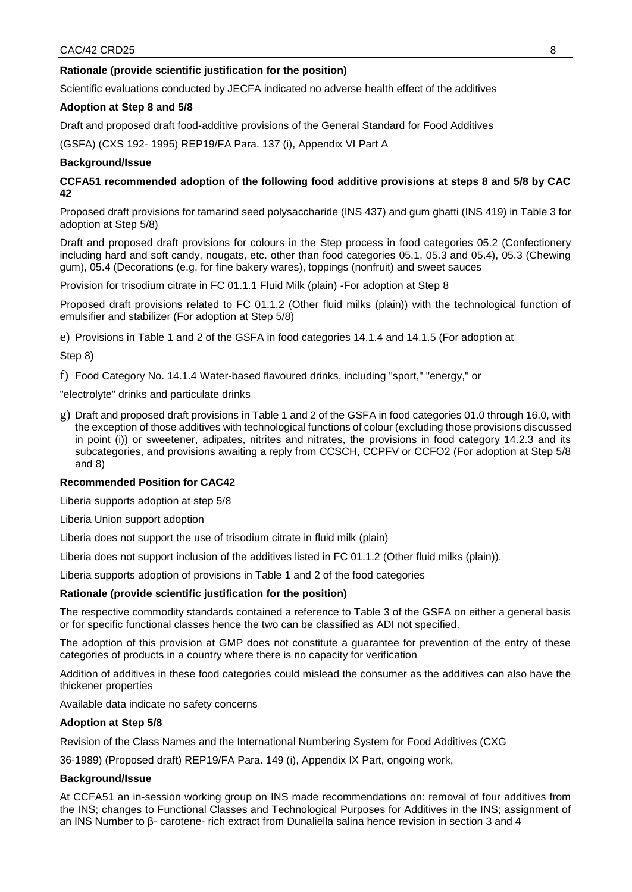# **Rationale (provide scientific justification for the position)**

Scientific evaluations conducted by JECFA indicated no adverse health effect of the additives

### **Adoption at Step 8 and 5/8**

Draft and proposed draft food-additive provisions of the General Standard for Food Additives

(GSFA) (CXS 192- 1995) REP19/FA Para. 137 (i), Appendix VI Part A

### **Background/Issue**

# **CCFA51 recommended adoption of the following food additive provisions at steps 8 and 5/8 by CAC 42**

Proposed draft provisions for tamarind seed polysaccharide (INS 437) and gum ghatti (INS 419) in Table 3 for adoption at Step 5/8)

Draft and proposed draft provisions for colours in the Step process in food categories 05.2 (Confectionery including hard and soft candy, nougats, etc. other than food categories 05.1, 05.3 and 05.4), 05.3 (Chewing gum), 05.4 (Decorations (e.g. for fine bakery wares), toppings (nonfruit) and sweet sauces

Provision for trisodium citrate in FC 01.1.1 Fluid Milk (plain) -For adoption at Step 8

Proposed draft provisions related to FC 01.1.2 (Other fluid milks (plain)) with the technological function of emulsifier and stabilizer (For adoption at Step 5/8)

e) Provisions in Table 1 and 2 of the GSFA in food categories 14.1.4 and 14.1.5 (For adoption at

### Step 8)

f) Food Category No. 14.1.4 Water-based flavoured drinks, including "sport," "energy," or

"electrolyte" drinks and particulate drinks

g) Draft and proposed draft provisions in Table 1 and 2 of the GSFA in food categories 01.0 through 16.0, with the exception of those additives with technological functions of colour (excluding those provisions discussed in point (i)) or sweetener, adipates, nitrites and nitrates, the provisions in food category 14.2.3 and its subcategories, and provisions awaiting a reply from CCSCH, CCPFV or CCFO2 (For adoption at Step 5/8 and 8)

### **Recommended Position for CAC42**

Liberia supports adoption at step 5/8

Liberia Union support adoption

Liberia does not support the use of trisodium citrate in fluid milk (plain)

Liberia does not support inclusion of the additives listed in FC 01.1.2 (Other fluid milks (plain)).

Liberia supports adoption of provisions in Table 1 and 2 of the food categories

# **Rationale (provide scientific justification for the position)**

The respective commodity standards contained a reference to Table 3 of the GSFA on either a general basis or for specific functional classes hence the two can be classified as ADI not specified.

The adoption of this provision at GMP does not constitute a guarantee for prevention of the entry of these categories of products in a country where there is no capacity for verification

Addition of additives in these food categories could mislead the consumer as the additives can also have the thickener properties

Available data indicate no safety concerns

# **Adoption at Step 5/8**

Revision of the Class Names and the International Numbering System for Food Additives (CXG

36-1989) (Proposed draft) REP19/FA Para. 149 (i), Appendix IX Part, ongoing work,

### **Background/Issue**

At CCFA51 an in-session working group on INS made recommendations on: removal of four additives from the INS; changes to Functional Classes and Technological Purposes for Additives in the INS; assignment of an INS Number to β- carotene- rich extract from Dunaliella salina hence revision in section 3 and 4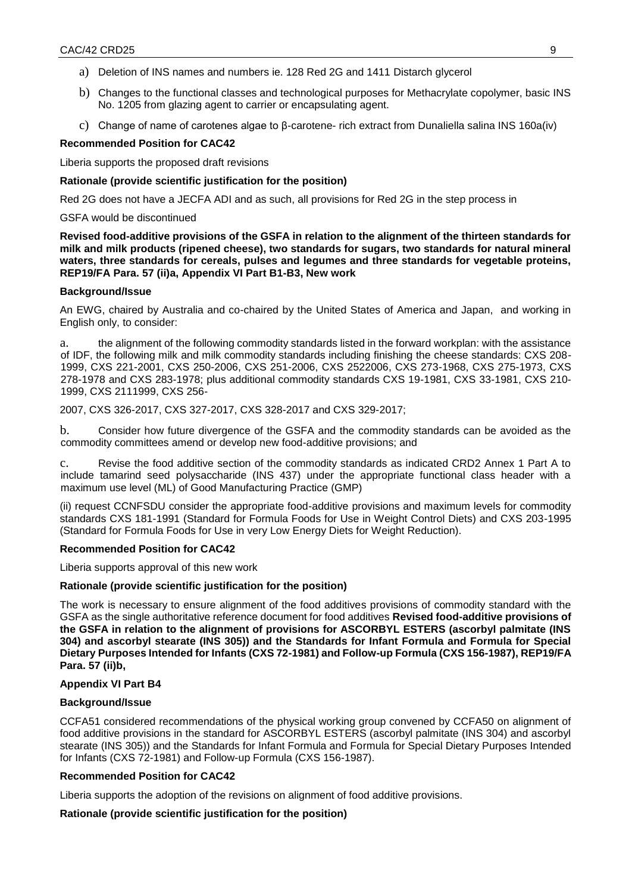- a) Deletion of INS names and numbers ie. 128 Red 2G and 1411 Distarch glycerol
- b) Changes to the functional classes and technological purposes for Methacrylate copolymer, basic INS No. 1205 from glazing agent to carrier or encapsulating agent.
- c) Change of name of carotenes algae to β-carotene- rich extract from Dunaliella salina INS 160a(iv)

#### **Recommended Position for CAC42**

Liberia supports the proposed draft revisions

#### **Rationale (provide scientific justification for the position)**

Red 2G does not have a JECFA ADI and as such, all provisions for Red 2G in the step process in

#### GSFA would be discontinued

**Revised food-additive provisions of the GSFA in relation to the alignment of the thirteen standards for milk and milk products (ripened cheese), two standards for sugars, two standards for natural mineral waters, three standards for cereals, pulses and legumes and three standards for vegetable proteins, REP19/FA Para. 57 (ii)a, Appendix VI Part B1-B3, New work** 

#### **Background/Issue**

An EWG, chaired by Australia and co-chaired by the United States of America and Japan, and working in English only, to consider:

a. the alignment of the following commodity standards listed in the forward workplan: with the assistance of IDF, the following milk and milk commodity standards including finishing the cheese standards: CXS 208- 1999, CXS 221-2001, CXS 250-2006, CXS 251-2006, CXS 2522006, CXS 273-1968, CXS 275-1973, CXS 278-1978 and CXS 283-1978; plus additional commodity standards CXS 19-1981, CXS 33-1981, CXS 210- 1999, CXS 2111999, CXS 256-

### 2007, CXS 326-2017, CXS 327-2017, CXS 328-2017 and CXS 329-2017;

b. Consider how future divergence of the GSFA and the commodity standards can be avoided as the commodity committees amend or develop new food-additive provisions; and

c. Revise the food additive section of the commodity standards as indicated CRD2 Annex 1 Part A to include tamarind seed polysaccharide (INS 437) under the appropriate functional class header with a maximum use level (ML) of Good Manufacturing Practice (GMP)

(ii) request CCNFSDU consider the appropriate food-additive provisions and maximum levels for commodity standards CXS 181-1991 (Standard for Formula Foods for Use in Weight Control Diets) and CXS 203-1995 (Standard for Formula Foods for Use in very Low Energy Diets for Weight Reduction).

### **Recommended Position for CAC42**

Liberia supports approval of this new work

### **Rationale (provide scientific justification for the position)**

The work is necessary to ensure alignment of the food additives provisions of commodity standard with the GSFA as the single authoritative reference document for food additives **Revised food-additive provisions of the GSFA in relation to the alignment of provisions for ASCORBYL ESTERS (ascorbyl palmitate (INS 304) and ascorbyl stearate (INS 305)) and the Standards for Infant Formula and Formula for Special Dietary Purposes Intended for Infants (CXS 72-1981) and Follow-up Formula (CXS 156-1987), REP19/FA Para. 57 (ii)b,** 

### **Appendix VI Part B4**

### **Background/Issue**

CCFA51 considered recommendations of the physical working group convened by CCFA50 on alignment of food additive provisions in the standard for ASCORBYL ESTERS (ascorbyl palmitate (INS 304) and ascorbyl stearate (INS 305)) and the Standards for Infant Formula and Formula for Special Dietary Purposes Intended for Infants (CXS 72-1981) and Follow-up Formula (CXS 156-1987).

### **Recommended Position for CAC42**

Liberia supports the adoption of the revisions on alignment of food additive provisions.

### **Rationale (provide scientific justification for the position)**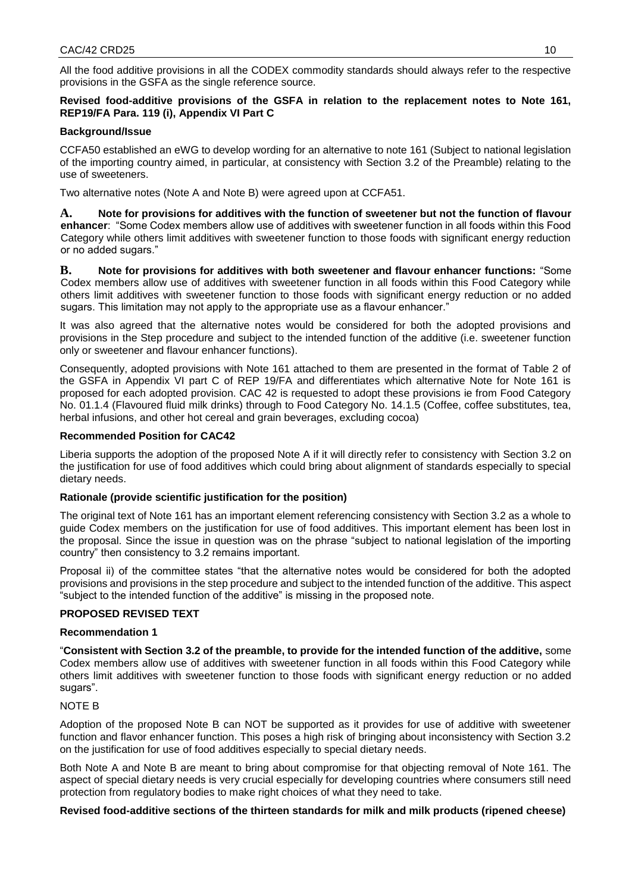All the food additive provisions in all the CODEX commodity standards should always refer to the respective provisions in the GSFA as the single reference source.

# **Revised food-additive provisions of the GSFA in relation to the replacement notes to Note 161, REP19/FA Para. 119 (i), Appendix VI Part C**

# **Background/Issue**

CCFA50 established an eWG to develop wording for an alternative to note 161 (Subject to national legislation of the importing country aimed, in particular, at consistency with Section 3.2 of the Preamble) relating to the use of sweeteners.

Two alternative notes (Note A and Note B) were agreed upon at CCFA51.

**A. Note for provisions for additives with the function of sweetener but not the function of flavour enhancer**: "Some Codex members allow use of additives with sweetener function in all foods within this Food Category while others limit additives with sweetener function to those foods with significant energy reduction or no added sugars."

**B. Note for provisions for additives with both sweetener and flavour enhancer functions:** "Some Codex members allow use of additives with sweetener function in all foods within this Food Category while others limit additives with sweetener function to those foods with significant energy reduction or no added sugars. This limitation may not apply to the appropriate use as a flavour enhancer."

It was also agreed that the alternative notes would be considered for both the adopted provisions and provisions in the Step procedure and subject to the intended function of the additive (i.e. sweetener function only or sweetener and flavour enhancer functions).

Consequently, adopted provisions with Note 161 attached to them are presented in the format of Table 2 of the GSFA in Appendix VI part C of REP 19/FA and differentiates which alternative Note for Note 161 is proposed for each adopted provision. CAC 42 is requested to adopt these provisions ie from Food Category No. 01.1.4 (Flavoured fluid milk drinks) through to Food Category No. 14.1.5 (Coffee, coffee substitutes, tea, herbal infusions, and other hot cereal and grain beverages, excluding cocoa)

# **Recommended Position for CAC42**

Liberia supports the adoption of the proposed Note A if it will directly refer to consistency with Section 3.2 on the justification for use of food additives which could bring about alignment of standards especially to special dietary needs.

# **Rationale (provide scientific justification for the position)**

The original text of Note 161 has an important element referencing consistency with Section 3.2 as a whole to guide Codex members on the justification for use of food additives. This important element has been lost in the proposal. Since the issue in question was on the phrase "subject to national legislation of the importing country" then consistency to 3.2 remains important.

Proposal ii) of the committee states "that the alternative notes would be considered for both the adopted provisions and provisions in the step procedure and subject to the intended function of the additive. This aspect "subject to the intended function of the additive" is missing in the proposed note.

# **PROPOSED REVISED TEXT**

# **Recommendation 1**

"**Consistent with Section 3.2 of the preamble, to provide for the intended function of the additive,** some Codex members allow use of additives with sweetener function in all foods within this Food Category while others limit additives with sweetener function to those foods with significant energy reduction or no added sugars".

# NOTE B

Adoption of the proposed Note B can NOT be supported as it provides for use of additive with sweetener function and flavor enhancer function. This poses a high risk of bringing about inconsistency with Section 3.2 on the justification for use of food additives especially to special dietary needs.

Both Note A and Note B are meant to bring about compromise for that objecting removal of Note 161. The aspect of special dietary needs is very crucial especially for developing countries where consumers still need protection from regulatory bodies to make right choices of what they need to take.

# **Revised food-additive sections of the thirteen standards for milk and milk products (ripened cheese)**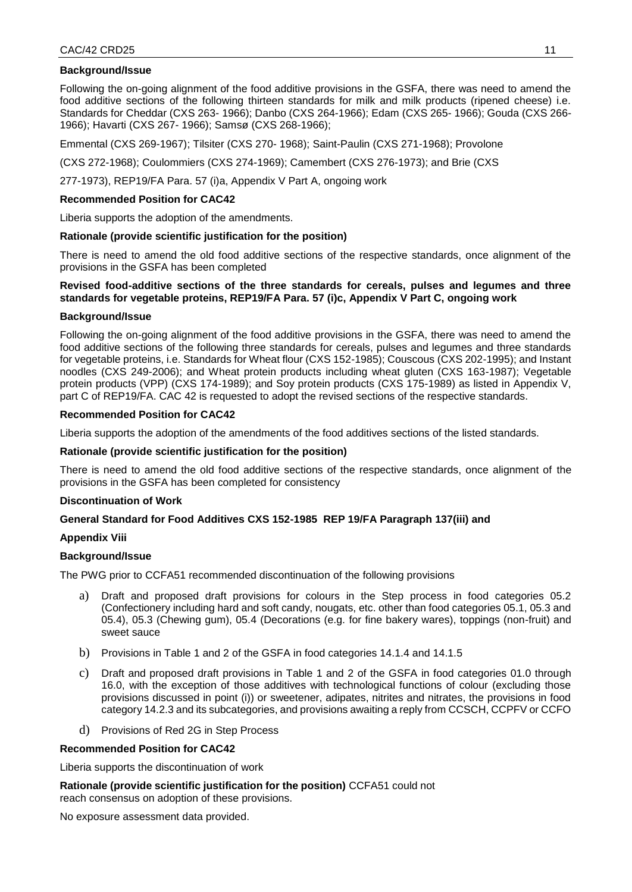### **Background/Issue**

Following the on-going alignment of the food additive provisions in the GSFA, there was need to amend the food additive sections of the following thirteen standards for milk and milk products (ripened cheese) i.e. Standards for Cheddar (CXS 263- 1966); Danbo (CXS 264-1966); Edam (CXS 265- 1966); Gouda (CXS 266- 1966); Havarti (CXS 267- 1966); Samsø (CXS 268-1966);

Emmental (CXS 269-1967); Tilsiter (CXS 270- 1968); Saint-Paulin (CXS 271-1968); Provolone

(CXS 272-1968); Coulommiers (CXS 274-1969); Camembert (CXS 276-1973); and Brie (CXS

277-1973), REP19/FA Para. 57 (i)a, Appendix V Part A, ongoing work

#### **Recommended Position for CAC42**

Liberia supports the adoption of the amendments.

### **Rationale (provide scientific justification for the position)**

There is need to amend the old food additive sections of the respective standards, once alignment of the provisions in the GSFA has been completed

### **Revised food-additive sections of the three standards for cereals, pulses and legumes and three standards for vegetable proteins, REP19/FA Para. 57 (i)c, Appendix V Part C, ongoing work**

#### **Background/Issue**

Following the on-going alignment of the food additive provisions in the GSFA, there was need to amend the food additive sections of the following three standards for cereals, pulses and legumes and three standards for vegetable proteins, i.e. Standards for Wheat flour (CXS 152-1985); Couscous (CXS 202-1995); and Instant noodles (CXS 249-2006); and Wheat protein products including wheat gluten (CXS 163-1987); Vegetable protein products (VPP) (CXS 174-1989); and Soy protein products (CXS 175-1989) as listed in Appendix V, part C of REP19/FA. CAC 42 is requested to adopt the revised sections of the respective standards.

### **Recommended Position for CAC42**

Liberia supports the adoption of the amendments of the food additives sections of the listed standards.

### **Rationale (provide scientific justification for the position)**

There is need to amend the old food additive sections of the respective standards, once alignment of the provisions in the GSFA has been completed for consistency

### **Discontinuation of Work**

### **General Standard for Food Additives CXS 152-1985 REP 19/FA Paragraph 137(iii) and**

### **Appendix Viii**

### **Background/Issue**

The PWG prior to CCFA51 recommended discontinuation of the following provisions

- a) Draft and proposed draft provisions for colours in the Step process in food categories 05.2 (Confectionery including hard and soft candy, nougats, etc. other than food categories 05.1, 05.3 and 05.4), 05.3 (Chewing gum), 05.4 (Decorations (e.g. for fine bakery wares), toppings (non-fruit) and sweet sauce
- b) Provisions in Table 1 and 2 of the GSFA in food categories 14.1.4 and 14.1.5
- c) Draft and proposed draft provisions in Table 1 and 2 of the GSFA in food categories 01.0 through 16.0, with the exception of those additives with technological functions of colour (excluding those provisions discussed in point (i)) or sweetener, adipates, nitrites and nitrates, the provisions in food category 14.2.3 and its subcategories, and provisions awaiting a reply from CCSCH, CCPFV or CCFO
- d) Provisions of Red 2G in Step Process

#### **Recommended Position for CAC42**

Liberia supports the discontinuation of work

**Rationale (provide scientific justification for the position)** CCFA51 could not reach consensus on adoption of these provisions.

No exposure assessment data provided.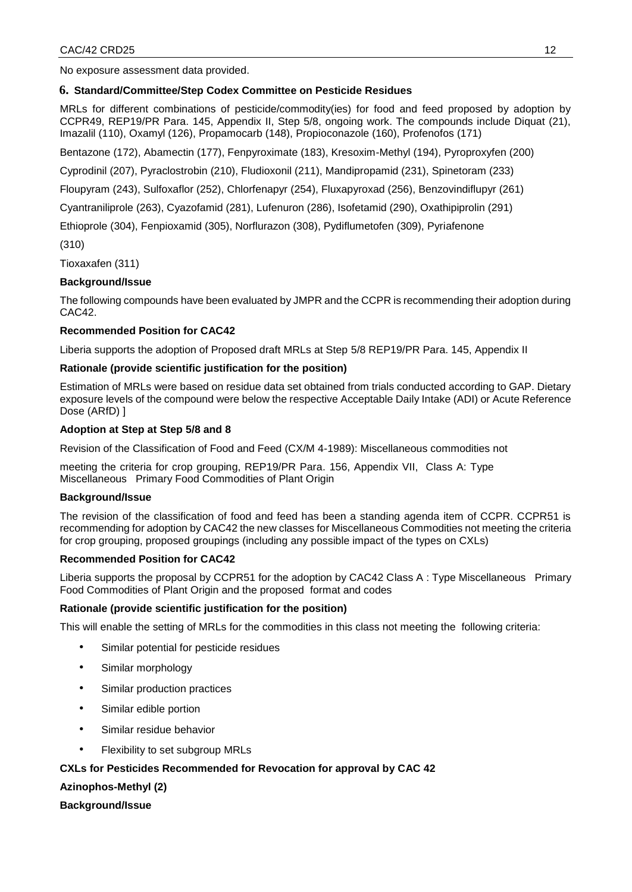No exposure assessment data provided.

# **6. Standard/Committee/Step Codex Committee on Pesticide Residues**

MRLs for different combinations of pesticide/commodity(ies) for food and feed proposed by adoption by CCPR49, REP19/PR Para. 145, Appendix II, Step 5/8, ongoing work. The compounds include Diquat (21), Imazalil (110), Oxamyl (126), Propamocarb (148), Propioconazole (160), Profenofos (171)

Bentazone (172), Abamectin (177), Fenpyroximate (183), Kresoxim-Methyl (194), Pyroproxyfen (200)

Cyprodinil (207), Pyraclostrobin (210), Fludioxonil (211), Mandipropamid (231), Spinetoram (233)

Floupyram (243), Sulfoxaflor (252), Chlorfenapyr (254), Fluxapyroxad (256), Benzovindiflupyr (261)

Cyantraniliprole (263), Cyazofamid (281), Lufenuron (286), Isofetamid (290), Oxathipiprolin (291)

Ethioprole (304), Fenpioxamid (305), Norflurazon (308), Pydiflumetofen (309), Pyriafenone

(310)

Tioxaxafen (311)

# **Background/Issue**

The following compounds have been evaluated by JMPR and the CCPR is recommending their adoption during CAC42.

# **Recommended Position for CAC42**

Liberia supports the adoption of Proposed draft MRLs at Step 5/8 REP19/PR Para. 145, Appendix II

# **Rationale (provide scientific justification for the position)**

Estimation of MRLs were based on residue data set obtained from trials conducted according to GAP. Dietary exposure levels of the compound were below the respective Acceptable Daily Intake (ADI) or Acute Reference Dose (ARfD) ]

# **Adoption at Step at Step 5/8 and 8**

Revision of the Classification of Food and Feed (CX/M 4-1989): Miscellaneous commodities not

meeting the criteria for crop grouping, REP19/PR Para. 156, Appendix VII, Class A: Type Miscellaneous Primary Food Commodities of Plant Origin

# **Background/Issue**

The revision of the classification of food and feed has been a standing agenda item of CCPR. CCPR51 is recommending for adoption by CAC42 the new classes for Miscellaneous Commodities not meeting the criteria for crop grouping, proposed groupings (including any possible impact of the types on CXLs)

# **Recommended Position for CAC42**

Liberia supports the proposal by CCPR51 for the adoption by CAC42 Class A : Type Miscellaneous Primary Food Commodities of Plant Origin and the proposed format and codes

# **Rationale (provide scientific justification for the position)**

This will enable the setting of MRLs for the commodities in this class not meeting the following criteria:

- Similar potential for pesticide residues
- Similar morphology
- Similar production practices
- Similar edible portion
- Similar residue behavior
- Flexibility to set subgroup MRLs

# **CXLs for Pesticides Recommended for Revocation for approval by CAC 42**

**Azinophos-Methyl (2)** 

# **Background/Issue**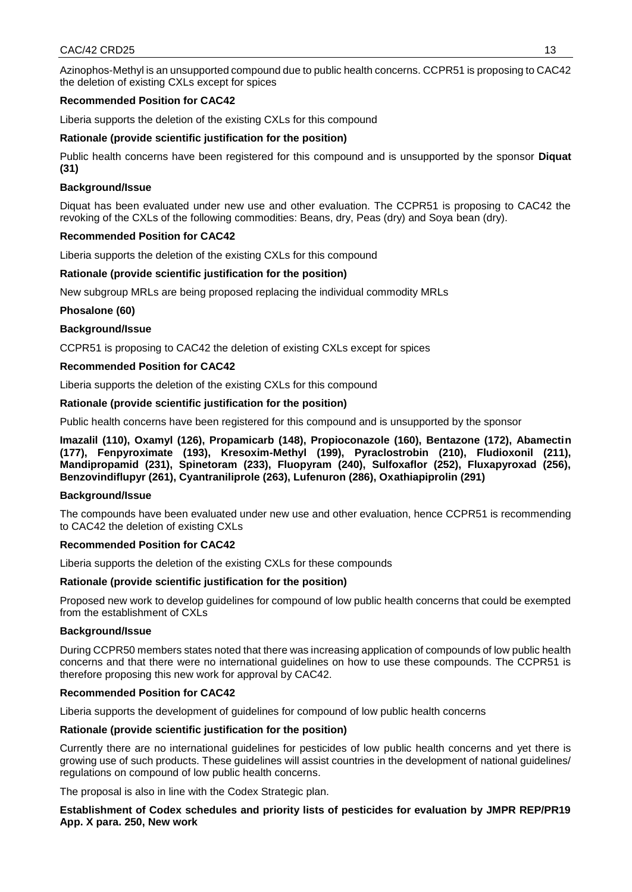Azinophos-Methyl is an unsupported compound due to public health concerns. CCPR51 is proposing to CAC42 the deletion of existing CXLs except for spices

# **Recommended Position for CAC42**

Liberia supports the deletion of the existing CXLs for this compound

### **Rationale (provide scientific justification for the position)**

Public health concerns have been registered for this compound and is unsupported by the sponsor **Diquat (31)** 

### **Background/Issue**

Diquat has been evaluated under new use and other evaluation. The CCPR51 is proposing to CAC42 the revoking of the CXLs of the following commodities: Beans, dry, Peas (dry) and Soya bean (dry).

### **Recommended Position for CAC42**

Liberia supports the deletion of the existing CXLs for this compound

### **Rationale (provide scientific justification for the position)**

New subgroup MRLs are being proposed replacing the individual commodity MRLs

### **Phosalone (60)**

# **Background/Issue**

CCPR51 is proposing to CAC42 the deletion of existing CXLs except for spices

# **Recommended Position for CAC42**

Liberia supports the deletion of the existing CXLs for this compound

### **Rationale (provide scientific justification for the position)**

Public health concerns have been registered for this compound and is unsupported by the sponsor

**Imazalil (110), Oxamyl (126), Propamicarb (148), Propioconazole (160), Bentazone (172), Abamectin (177), Fenpyroximate (193), Kresoxim-Methyl (199), Pyraclostrobin (210), Fludioxonil (211), Mandipropamid (231), Spinetoram (233), Fluopyram (240), Sulfoxaflor (252), Fluxapyroxad (256), Benzovindiflupyr (261), Cyantraniliprole (263), Lufenuron (286), Oxathiapiprolin (291)** 

### **Background/Issue**

The compounds have been evaluated under new use and other evaluation, hence CCPR51 is recommending to CAC42 the deletion of existing CXLs

### **Recommended Position for CAC42**

Liberia supports the deletion of the existing CXLs for these compounds

### **Rationale (provide scientific justification for the position)**

Proposed new work to develop guidelines for compound of low public health concerns that could be exempted from the establishment of CXLs

### **Background/Issue**

During CCPR50 members states noted that there was increasing application of compounds of low public health concerns and that there were no international guidelines on how to use these compounds. The CCPR51 is therefore proposing this new work for approval by CAC42.

### **Recommended Position for CAC42**

Liberia supports the development of guidelines for compound of low public health concerns

# **Rationale (provide scientific justification for the position)**

Currently there are no international guidelines for pesticides of low public health concerns and yet there is growing use of such products. These guidelines will assist countries in the development of national guidelines/ regulations on compound of low public health concerns.

The proposal is also in line with the Codex Strategic plan.

**Establishment of Codex schedules and priority lists of pesticides for evaluation by JMPR REP/PR19 App. X para. 250, New work**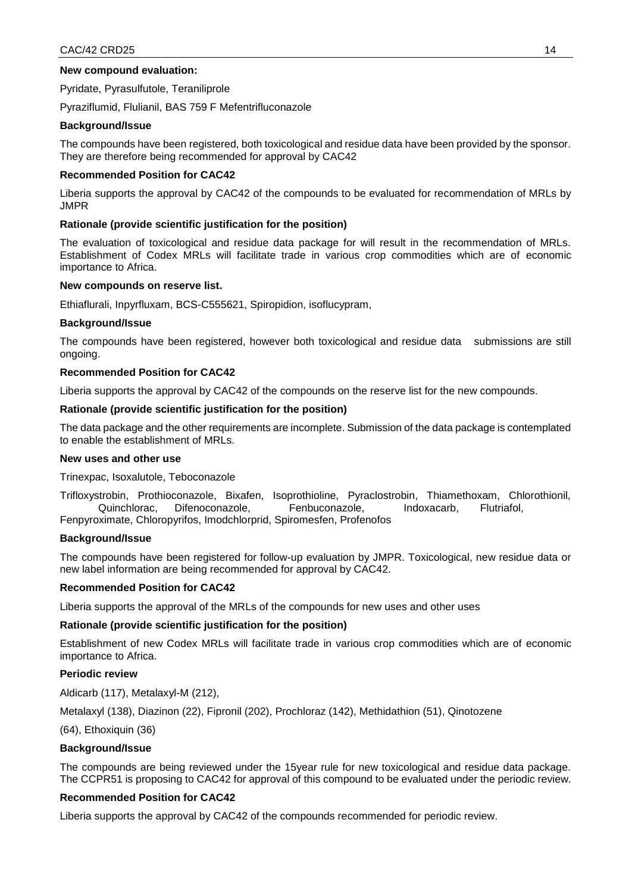### **New compound evaluation:**

Pyridate, Pyrasulfutole, Teraniliprole

Pyraziflumid, Flulianil, BAS 759 F Mefentrifluconazole

### **Background/Issue**

The compounds have been registered, both toxicological and residue data have been provided by the sponsor. They are therefore being recommended for approval by CAC42

#### **Recommended Position for CAC42**

Liberia supports the approval by CAC42 of the compounds to be evaluated for recommendation of MRLs by JMPR

#### **Rationale (provide scientific justification for the position)**

The evaluation of toxicological and residue data package for will result in the recommendation of MRLs. Establishment of Codex MRLs will facilitate trade in various crop commodities which are of economic importance to Africa.

#### **New compounds on reserve list.**

Ethiaflurali, Inpyrfluxam, BCS-C555621, Spiropidion, isoflucypram,

#### **Background/Issue**

The compounds have been registered, however both toxicological and residue data submissions are still ongoing.

#### **Recommended Position for CAC42**

Liberia supports the approval by CAC42 of the compounds on the reserve list for the new compounds.

#### **Rationale (provide scientific justification for the position)**

The data package and the other requirements are incomplete. Submission of the data package is contemplated to enable the establishment of MRLs.

### **New uses and other use**

Trinexpac, Isoxalutole, Teboconazole

Trifloxystrobin, Prothioconazole, Bixafen, Isoprothioline, Pyraclostrobin, Thiamethoxam, Chlorothionil, Quinchlorac, Difenoconazole, Fenbuconazole, Indoxacarb, Flutriafol, Fenpyroximate, Chloropyrifos, Imodchlorprid, Spiromesfen, Profenofos

#### **Background/Issue**

The compounds have been registered for follow-up evaluation by JMPR. Toxicological, new residue data or new label information are being recommended for approval by CAC42.

### **Recommended Position for CAC42**

Liberia supports the approval of the MRLs of the compounds for new uses and other uses

### **Rationale (provide scientific justification for the position)**

Establishment of new Codex MRLs will facilitate trade in various crop commodities which are of economic importance to Africa.

#### **Periodic review**

Aldicarb (117), Metalaxyl-M (212),

Metalaxyl (138), Diazinon (22), Fipronil (202), Prochloraz (142), Methidathion (51), Qinotozene

(64), Ethoxiquin (36)

### **Background/Issue**

The compounds are being reviewed under the 15year rule for new toxicological and residue data package. The CCPR51 is proposing to CAC42 for approval of this compound to be evaluated under the periodic review.

### **Recommended Position for CAC42**

Liberia supports the approval by CAC42 of the compounds recommended for periodic review.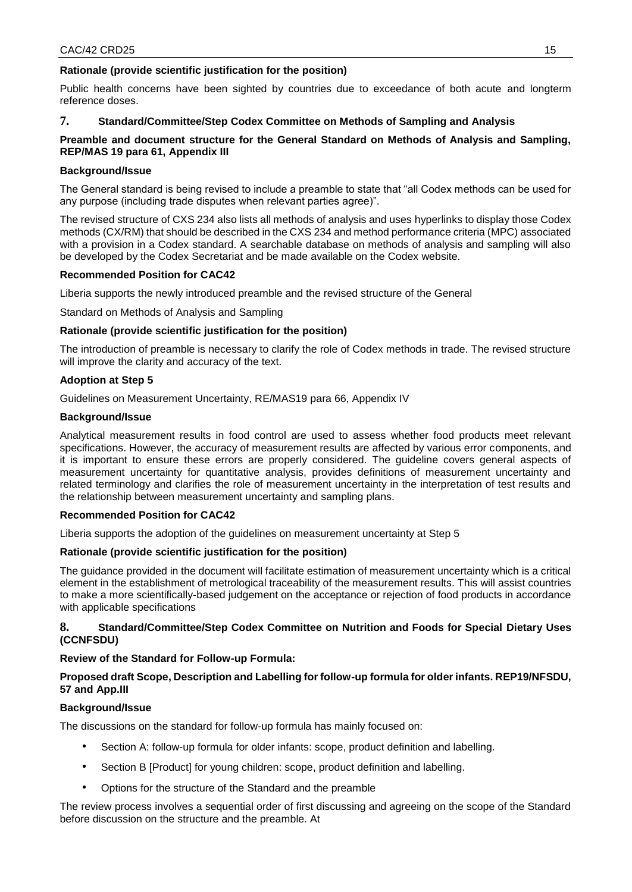# **Rationale (provide scientific justification for the position)**

Public health concerns have been sighted by countries due to exceedance of both acute and longterm reference doses.

# **7. Standard/Committee/Step Codex Committee on Methods of Sampling and Analysis**

# **Preamble and document structure for the General Standard on Methods of Analysis and Sampling, REP/MAS 19 para 61, Appendix III**

# **Background/Issue**

The General standard is being revised to include a preamble to state that "all Codex methods can be used for any purpose (including trade disputes when relevant parties agree)".

The revised structure of CXS 234 also lists all methods of analysis and uses hyperlinks to display those Codex methods (CX/RM) that should be described in the CXS 234 and method performance criteria (MPC) associated with a provision in a Codex standard. A searchable database on methods of analysis and sampling will also be developed by the Codex Secretariat and be made available on the Codex website.

### **Recommended Position for CAC42**

Liberia supports the newly introduced preamble and the revised structure of the General

Standard on Methods of Analysis and Sampling

### **Rationale (provide scientific justification for the position)**

The introduction of preamble is necessary to clarify the role of Codex methods in trade. The revised structure will improve the clarity and accuracy of the text.

### **Adoption at Step 5**

Guidelines on Measurement Uncertainty, RE/MAS19 para 66, Appendix IV

### **Background/Issue**

Analytical measurement results in food control are used to assess whether food products meet relevant specifications. However, the accuracy of measurement results are affected by various error components, and it is important to ensure these errors are properly considered. The guideline covers general aspects of measurement uncertainty for quantitative analysis, provides definitions of measurement uncertainty and related terminology and clarifies the role of measurement uncertainty in the interpretation of test results and the relationship between measurement uncertainty and sampling plans.

### **Recommended Position for CAC42**

Liberia supports the adoption of the guidelines on measurement uncertainty at Step 5

### **Rationale (provide scientific justification for the position)**

The guidance provided in the document will facilitate estimation of measurement uncertainty which is a critical element in the establishment of metrological traceability of the measurement results. This will assist countries to make a more scientifically-based judgement on the acceptance or rejection of food products in accordance with applicable specifications

### **8. Standard/Committee/Step Codex Committee on Nutrition and Foods for Special Dietary Uses (CCNFSDU)**

### **Review of the Standard for Follow-up Formula:**

### **Proposed draft Scope, Description and Labelling for follow-up formula for older infants. REP19/NFSDU, 57 and App.III**

### **Background/Issue**

The discussions on the standard for follow-up formula has mainly focused on:

- Section A: follow-up formula for older infants: scope, product definition and labelling.
- Section B [Product] for young children: scope, product definition and labelling.
- Options for the structure of the Standard and the preamble

The review process involves a sequential order of first discussing and agreeing on the scope of the Standard before discussion on the structure and the preamble. At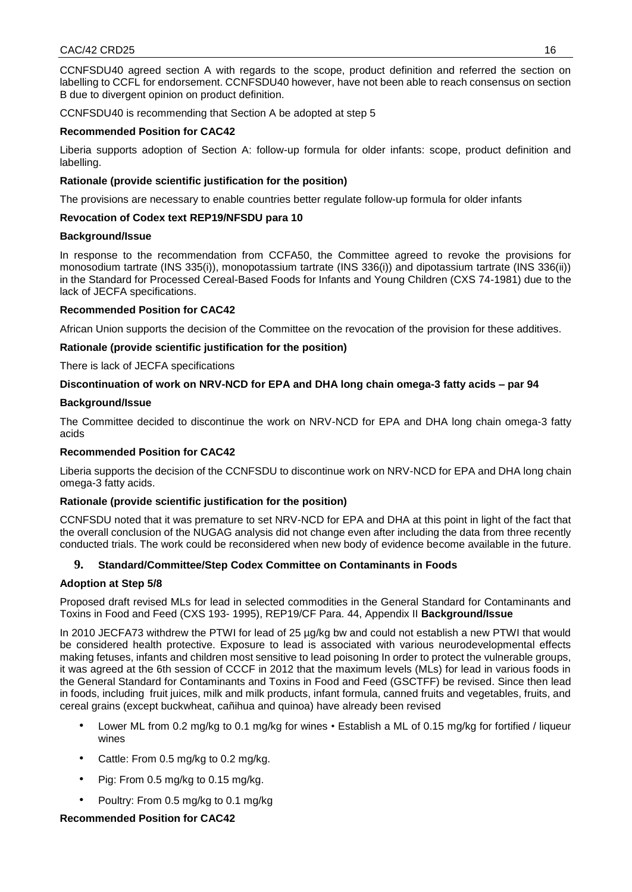CCNFSDU40 agreed section A with regards to the scope, product definition and referred the section on labelling to CCFL for endorsement. CCNFSDU40 however, have not been able to reach consensus on section B due to divergent opinion on product definition.

CCNFSDU40 is recommending that Section A be adopted at step 5

# **Recommended Position for CAC42**

Liberia supports adoption of Section A: follow-up formula for older infants: scope, product definition and labelling.

# **Rationale (provide scientific justification for the position)**

The provisions are necessary to enable countries better regulate follow-up formula for older infants

# **Revocation of Codex text REP19/NFSDU para 10**

# **Background/Issue**

In response to the recommendation from CCFA50, the Committee agreed to revoke the provisions for monosodium tartrate (INS 335(i)), monopotassium tartrate (INS 336(i)) and dipotassium tartrate (INS 336(ii)) in the Standard for Processed Cereal-Based Foods for Infants and Young Children (CXS 74-1981) due to the lack of JECFA specifications.

# **Recommended Position for CAC42**

African Union supports the decision of the Committee on the revocation of the provision for these additives.

# **Rationale (provide scientific justification for the position)**

There is lack of JECFA specifications

# **Discontinuation of work on NRV-NCD for EPA and DHA long chain omega-3 fatty acids – par 94**

# **Background/Issue**

The Committee decided to discontinue the work on NRV-NCD for EPA and DHA long chain omega-3 fatty acids

# **Recommended Position for CAC42**

Liberia supports the decision of the CCNFSDU to discontinue work on NRV-NCD for EPA and DHA long chain omega-3 fatty acids.

# **Rationale (provide scientific justification for the position)**

CCNFSDU noted that it was premature to set NRV-NCD for EPA and DHA at this point in light of the fact that the overall conclusion of the NUGAG analysis did not change even after including the data from three recently conducted trials. The work could be reconsidered when new body of evidence become available in the future.

# **9. Standard/Committee/Step Codex Committee on Contaminants in Foods**

# **Adoption at Step 5/8**

Proposed draft revised MLs for lead in selected commodities in the General Standard for Contaminants and Toxins in Food and Feed (CXS 193- 1995), REP19/CF Para. 44, Appendix II **Background/Issue** 

In 2010 JECFA73 withdrew the PTWI for lead of 25 µg/kg bw and could not establish a new PTWI that would be considered health protective. Exposure to lead is associated with various neurodevelopmental effects making fetuses, infants and children most sensitive to lead poisoning In order to protect the vulnerable groups, it was agreed at the 6th session of CCCF in 2012 that the maximum levels (MLs) for lead in various foods in the General Standard for Contaminants and Toxins in Food and Feed (GSCTFF) be revised. Since then lead in foods, including fruit juices, milk and milk products, infant formula, canned fruits and vegetables, fruits, and cereal grains (except buckwheat, cañihua and quinoa) have already been revised

- Lower ML from 0.2 mg/kg to 0.1 mg/kg for wines Establish a ML of 0.15 mg/kg for fortified / liqueur wines
- Cattle: From 0.5 mg/kg to 0.2 mg/kg.
- Pig: From 0.5 mg/kg to 0.15 mg/kg.
- Poultry: From 0.5 mg/kg to 0.1 mg/kg

# **Recommended Position for CAC42**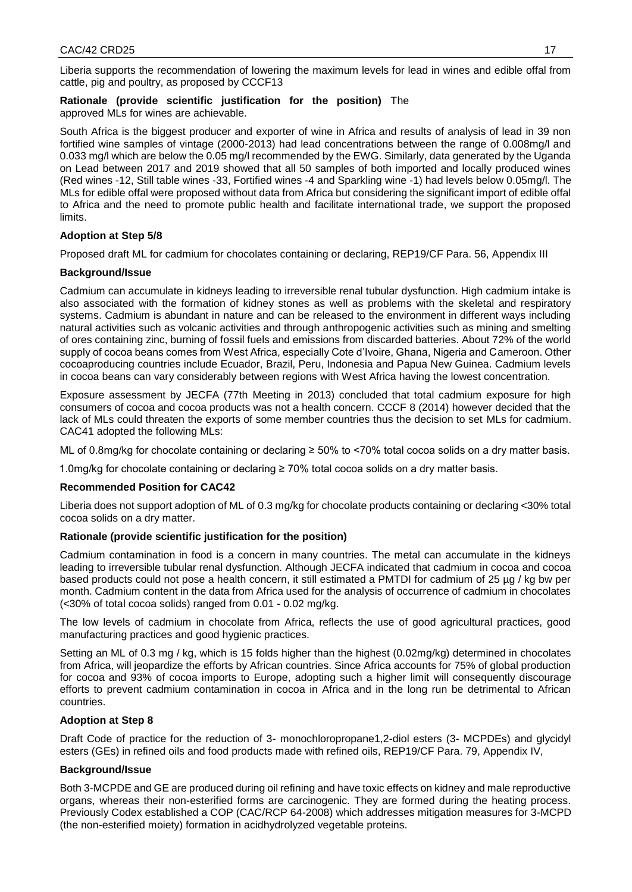Liberia supports the recommendation of lowering the maximum levels for lead in wines and edible offal from cattle, pig and poultry, as proposed by CCCF13

**Rationale (provide scientific justification for the position)** The approved MLs for wines are achievable.

South Africa is the biggest producer and exporter of wine in Africa and results of analysis of lead in 39 non fortified wine samples of vintage (2000-2013) had lead concentrations between the range of 0.008mg/l and 0.033 mg/l which are below the 0.05 mg/l recommended by the EWG. Similarly, data generated by the Uganda on Lead between 2017 and 2019 showed that all 50 samples of both imported and locally produced wines (Red wines -12, Still table wines -33, Fortified wines -4 and Sparkling wine -1) had levels below 0.05mg/l. The MLs for edible offal were proposed without data from Africa but considering the significant import of edible offal to Africa and the need to promote public health and facilitate international trade, we support the proposed limits.

# **Adoption at Step 5/8**

Proposed draft ML for cadmium for chocolates containing or declaring, REP19/CF Para. 56, Appendix III

# **Background/Issue**

Cadmium can accumulate in kidneys leading to irreversible renal tubular dysfunction. High cadmium intake is also associated with the formation of kidney stones as well as problems with the skeletal and respiratory systems. Cadmium is abundant in nature and can be released to the environment in different ways including natural activities such as volcanic activities and through anthropogenic activities such as mining and smelting of ores containing zinc, burning of fossil fuels and emissions from discarded batteries. About 72% of the world supply of cocoa beans comes from West Africa, especially Cote d'Ivoire, Ghana, Nigeria and Cameroon. Other cocoaproducing countries include Ecuador, Brazil, Peru, Indonesia and Papua New Guinea. Cadmium levels in cocoa beans can vary considerably between regions with West Africa having the lowest concentration.

Exposure assessment by JECFA (77th Meeting in 2013) concluded that total cadmium exposure for high consumers of cocoa and cocoa products was not a health concern. CCCF 8 (2014) however decided that the lack of MLs could threaten the exports of some member countries thus the decision to set MLs for cadmium. CAC41 adopted the following MLs:

ML of 0.8mg/kg for chocolate containing or declaring ≥ 50% to <70% total cocoa solids on a dry matter basis.

1.0mg/kg for chocolate containing or declaring ≥ 70% total cocoa solids on a dry matter basis.

# **Recommended Position for CAC42**

Liberia does not support adoption of ML of 0.3 mg/kg for chocolate products containing or declaring <30% total cocoa solids on a dry matter.

# **Rationale (provide scientific justification for the position)**

Cadmium contamination in food is a concern in many countries. The metal can accumulate in the kidneys leading to irreversible tubular renal dysfunction. Although JECFA indicated that cadmium in cocoa and cocoa based products could not pose a health concern, it still estimated a PMTDI for cadmium of 25 µg / kg bw per month. Cadmium content in the data from Africa used for the analysis of occurrence of cadmium in chocolates (<30% of total cocoa solids) ranged from 0.01 - 0.02 mg/kg.

The low levels of cadmium in chocolate from Africa, reflects the use of good agricultural practices, good manufacturing practices and good hygienic practices.

Setting an ML of 0.3 mg / kg, which is 15 folds higher than the highest (0.02mg/kg) determined in chocolates from Africa, will jeopardize the efforts by African countries. Since Africa accounts for 75% of global production for cocoa and 93% of cocoa imports to Europe, adopting such a higher limit will consequently discourage efforts to prevent cadmium contamination in cocoa in Africa and in the long run be detrimental to African countries.

# **Adoption at Step 8**

Draft Code of practice for the reduction of 3- monochloropropane1,2-diol esters (3- MCPDEs) and glycidyl esters (GEs) in refined oils and food products made with refined oils, REP19/CF Para. 79, Appendix IV,

# **Background/Issue**

Both 3-MCPDE and GE are produced during oil refining and have toxic effects on kidney and male reproductive organs, whereas their non-esterified forms are carcinogenic. They are formed during the heating process. Previously Codex established a COP (CAC/RCP 64-2008) which addresses mitigation measures for 3-MCPD (the non-esterified moiety) formation in acidhydrolyzed vegetable proteins.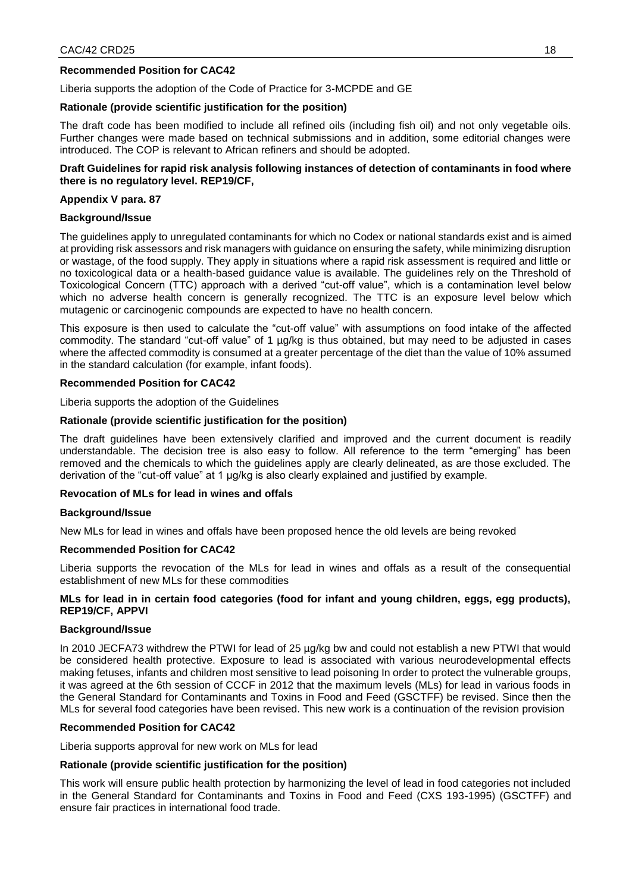# **Recommended Position for CAC42**

Liberia supports the adoption of the Code of Practice for 3-MCPDE and GE

# **Rationale (provide scientific justification for the position)**

The draft code has been modified to include all refined oils (including fish oil) and not only vegetable oils. Further changes were made based on technical submissions and in addition, some editorial changes were introduced. The COP is relevant to African refiners and should be adopted.

### **Draft Guidelines for rapid risk analysis following instances of detection of contaminants in food where there is no regulatory level. REP19/CF,**

### **Appendix V para. 87**

### **Background/Issue**

The guidelines apply to unregulated contaminants for which no Codex or national standards exist and is aimed at providing risk assessors and risk managers with guidance on ensuring the safety, while minimizing disruption or wastage, of the food supply. They apply in situations where a rapid risk assessment is required and little or no toxicological data or a health-based guidance value is available. The guidelines rely on the Threshold of Toxicological Concern (TTC) approach with a derived "cut-off value", which is a contamination level below which no adverse health concern is generally recognized. The TTC is an exposure level below which mutagenic or carcinogenic compounds are expected to have no health concern.

This exposure is then used to calculate the "cut-off value" with assumptions on food intake of the affected commodity. The standard "cut-off value" of 1 µg/kg is thus obtained, but may need to be adjusted in cases where the affected commodity is consumed at a greater percentage of the diet than the value of 10% assumed in the standard calculation (for example, infant foods).

### **Recommended Position for CAC42**

Liberia supports the adoption of the Guidelines

### **Rationale (provide scientific justification for the position)**

The draft guidelines have been extensively clarified and improved and the current document is readily understandable. The decision tree is also easy to follow. All reference to the term "emerging" has been removed and the chemicals to which the guidelines apply are clearly delineated, as are those excluded. The derivation of the "cut-off value" at 1 µg/kg is also clearly explained and justified by example.

# **Revocation of MLs for lead in wines and offals**

### **Background/Issue**

New MLs for lead in wines and offals have been proposed hence the old levels are being revoked

### **Recommended Position for CAC42**

Liberia supports the revocation of the MLs for lead in wines and offals as a result of the consequential establishment of new MLs for these commodities

### **MLs for lead in in certain food categories (food for infant and young children, eggs, egg products), REP19/CF, APPVI**

### **Background/Issue**

In 2010 JECFA73 withdrew the PTWI for lead of 25 µg/kg bw and could not establish a new PTWI that would be considered health protective. Exposure to lead is associated with various neurodevelopmental effects making fetuses, infants and children most sensitive to lead poisoning In order to protect the vulnerable groups, it was agreed at the 6th session of CCCF in 2012 that the maximum levels (MLs) for lead in various foods in the General Standard for Contaminants and Toxins in Food and Feed (GSCTFF) be revised. Since then the MLs for several food categories have been revised. This new work is a continuation of the revision provision

### **Recommended Position for CAC42**

Liberia supports approval for new work on MLs for lead

# **Rationale (provide scientific justification for the position)**

This work will ensure public health protection by harmonizing the level of lead in food categories not included in the General Standard for Contaminants and Toxins in Food and Feed (CXS 193-1995) (GSCTFF) and ensure fair practices in international food trade.